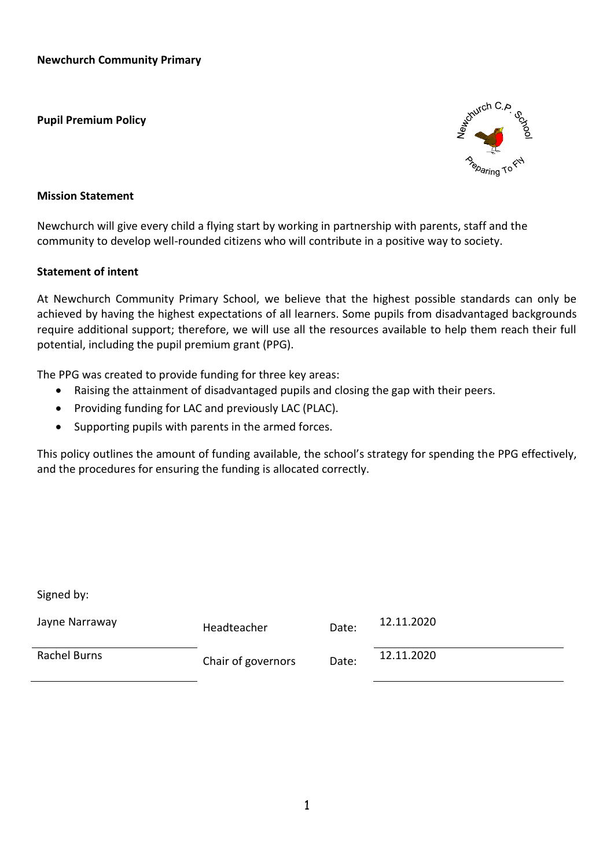**Pupil Premium Policy**



### **Mission Statement**

Newchurch will give every child a flying start by working in partnership with parents, staff and the community to develop well-rounded citizens who will contribute in a positive way to society.

## **Statement of intent**

At Newchurch Community Primary School, we believe that the highest possible standards can only be achieved by having the highest expectations of all learners. Some pupils from disadvantaged backgrounds require additional support; therefore, we will use all the resources available to help them reach their full potential, including the pupil premium grant (PPG).

The PPG was created to provide funding for three key areas:

- Raising the attainment of disadvantaged pupils and closing the gap with their peers.
- Providing funding for LAC and previously LAC (PLAC).
- Supporting pupils with parents in the armed forces.

This policy outlines the amount of funding available, the school's strategy for spending the PPG effectively, and the procedures for ensuring the funding is allocated correctly.

Signed by:

| Jayne Narraway | Headteacher        | Date: | 12.11.2020 |
|----------------|--------------------|-------|------------|
| Rachel Burns   | Chair of governors | Date: | 12.11.2020 |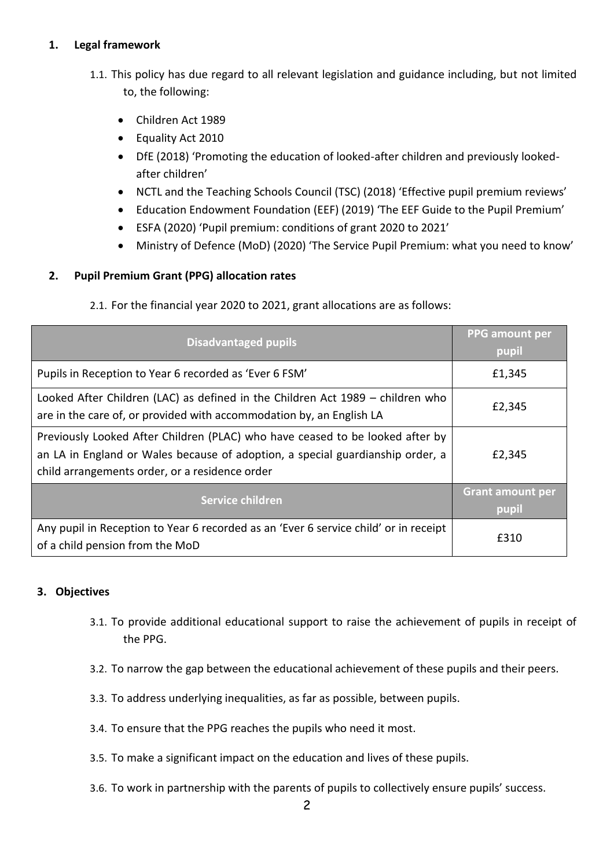# **1. Legal framework**

- 1.1. This policy has due regard to all relevant legislation and guidance including, but not limited to, the following:
	- Children Act 1989
	- Equality Act 2010
	- DfE (2018) 'Promoting the education of looked-after children and previously lookedafter children'
	- NCTL and the Teaching Schools Council (TSC) (2018) 'Effective pupil premium reviews'
	- Education Endowment Foundation (EEF) (2019) 'The EEF Guide to the Pupil Premium'
	- ESFA (2020) 'Pupil premium: conditions of grant 2020 to 2021'
	- Ministry of Defence (MoD) (2020) 'The Service Pupil Premium: what you need to know'

# **2. Pupil Premium Grant (PPG) allocation rates**

2.1. For the financial year 2020 to 2021, grant allocations are as follows:

| <b>Disadvantaged pupils</b>                                                                                                                                                                                       | <b>PPG</b> amount per<br>pupil   |
|-------------------------------------------------------------------------------------------------------------------------------------------------------------------------------------------------------------------|----------------------------------|
| Pupils in Reception to Year 6 recorded as 'Ever 6 FSM'                                                                                                                                                            | £1,345                           |
| Looked After Children (LAC) as defined in the Children Act 1989 – children who<br>are in the care of, or provided with accommodation by, an English LA                                                            | £2,345                           |
| Previously Looked After Children (PLAC) who have ceased to be looked after by<br>an LA in England or Wales because of adoption, a special guardianship order, a<br>child arrangements order, or a residence order | £2,345                           |
| Service children                                                                                                                                                                                                  | <b>Grant amount per</b><br>pupil |
| Any pupil in Reception to Year 6 recorded as an 'Ever 6 service child' or in receipt<br>of a child pension from the MoD                                                                                           | £310                             |

### **3. Objectives**

- 3.1. To provide additional educational support to raise the achievement of pupils in receipt of the PPG.
- 3.2. To narrow the gap between the educational achievement of these pupils and their peers.
- 3.3. To address underlying inequalities, as far as possible, between pupils.
- 3.4. To ensure that the PPG reaches the pupils who need it most.
- 3.5. To make a significant impact on the education and lives of these pupils.
- 3.6. To work in partnership with the parents of pupils to collectively ensure pupils' success.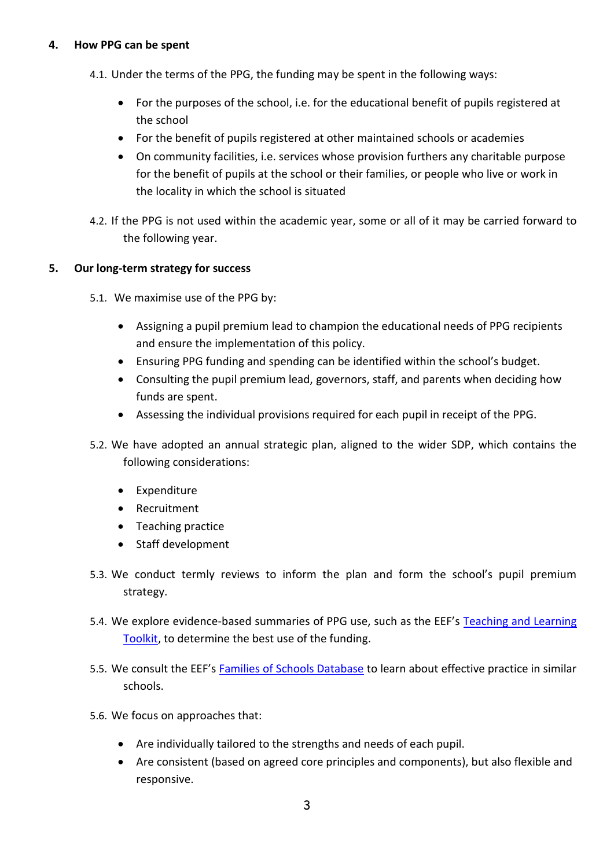## **4. How PPG can be spent**

- 4.1. Under the terms of the PPG, the funding may be spent in the following ways:
	- For the purposes of the school, i.e. for the educational benefit of pupils registered at the school
	- For the benefit of pupils registered at other maintained schools or academies
	- On community facilities, i.e. services whose provision furthers any charitable purpose for the benefit of pupils at the school or their families, or people who live or work in the locality in which the school is situated
- 4.2. If the PPG is not used within the academic year, some or all of it may be carried forward to the following year.

# **5. Our long-term strategy for success**

- 5.1. We maximise use of the PPG by:
	- Assigning a pupil premium lead to champion the educational needs of PPG recipients and ensure the implementation of this policy.
	- Ensuring PPG funding and spending can be identified within the school's budget.
	- Consulting the pupil premium lead, governors, staff, and parents when deciding how funds are spent.
	- Assessing the individual provisions required for each pupil in receipt of the PPG.
- 5.2. We have adopted an annual strategic plan, aligned to the wider SDP, which contains the following considerations:
	- Expenditure
	- Recruitment
	- Teaching practice
	- Staff development
- 5.3. We conduct termly reviews to inform the plan and form the school's pupil premium strategy.
- 5.4. We explore evidence-based summaries of PPG use, such as the EEF's [Teaching and Learning](https://educationendowmentfoundation.org.uk/evidence-summaries/teaching-learning-toolkit)  [Toolkit,](https://educationendowmentfoundation.org.uk/evidence-summaries/teaching-learning-toolkit) to determine the best use of the funding.
- 5.5. We consult the EEF's [Families of Schools Database](https://educationendowmentfoundation.org.uk/tools/families-of-schools-database) to learn about effective practice in similar schools.
- 5.6. We focus on approaches that:
	- Are individually tailored to the strengths and needs of each pupil.
	- Are consistent (based on agreed core principles and components), but also flexible and responsive.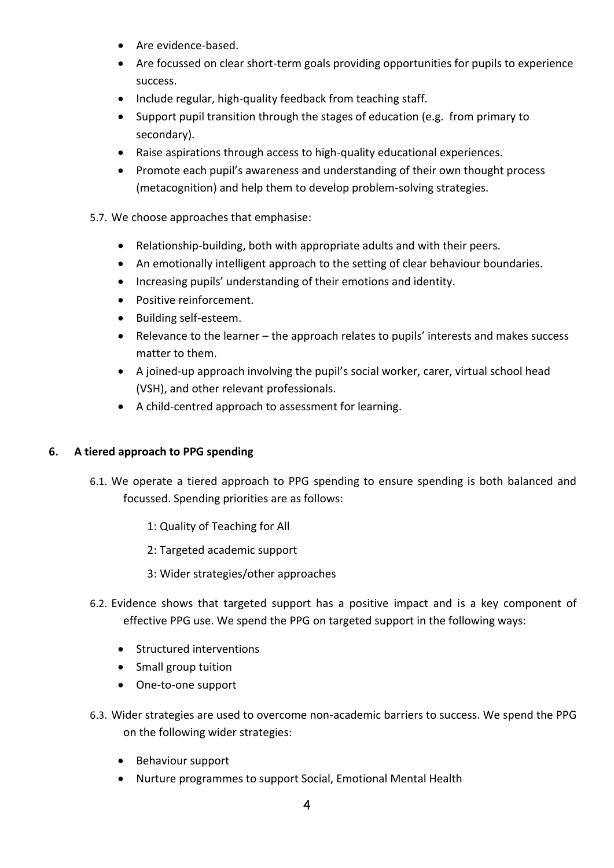- Are evidence-based.
- Are focussed on clear short-term goals providing opportunities for pupils to experience success.
- Include regular, high-quality feedback from teaching staff.
- Support pupil transition through the stages of education (e.g. from primary to secondary).
- Raise aspirations through access to high-quality educational experiences.
- Promote each pupil's awareness and understanding of their own thought process (metacognition) and help them to develop problem-solving strategies.
- 5.7. We choose approaches that emphasise:
	- Relationship-building, both with appropriate adults and with their peers.
	- An emotionally intelligent approach to the setting of clear behaviour boundaries.
	- Increasing pupils' understanding of their emotions and identity.
	- Positive reinforcement.
	- Building self-esteem.
	- Relevance to the learner the approach relates to pupils' interests and makes success matter to them.
	- A joined-up approach involving the pupil's social worker, carer, virtual school head (VSH), and other relevant professionals.
	- A child-centred approach to assessment for learning.

# **6. A tiered approach to PPG spending**

- 6.1. We operate a tiered approach to PPG spending to ensure spending is both balanced and focussed. Spending priorities are as follows:
	- 1: Quality of Teaching for All
	- 2: Targeted academic support
	- 3: Wider strategies/other approaches
- 6.2. Evidence shows that targeted support has a positive impact and is a key component of effective PPG use. We spend the PPG on targeted support in the following ways:
	- Structured interventions
	- Small group tuition
	- One-to-one support
- 6.3. Wider strategies are used to overcome non-academic barriers to success. We spend the PPG on the following wider strategies:
	- Behaviour support
	- Nurture programmes to support Social, Emotional Mental Health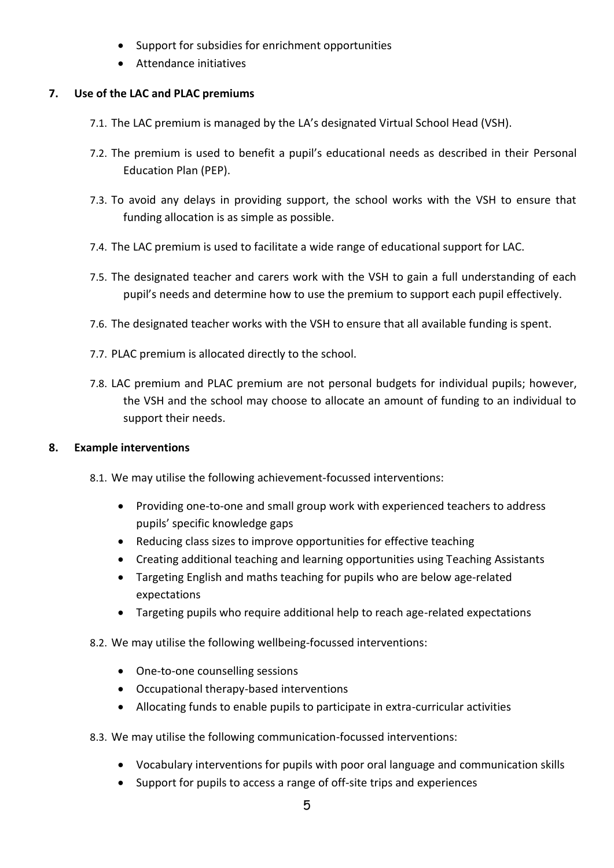- Support for subsidies for enrichment opportunities
- Attendance initiatives

# **7. Use of the LAC and PLAC premiums**

- 7.1. The LAC premium is managed by the LA's designated Virtual School Head (VSH).
- 7.2. The premium is used to benefit a pupil's educational needs as described in their Personal Education Plan (PEP).
- 7.3. To avoid any delays in providing support, the school works with the VSH to ensure that funding allocation is as simple as possible.
- 7.4. The LAC premium is used to facilitate a wide range of educational support for LAC.
- 7.5. The designated teacher and carers work with the VSH to gain a full understanding of each pupil's needs and determine how to use the premium to support each pupil effectively.
- 7.6. The designated teacher works with the VSH to ensure that all available funding is spent.
- 7.7. PLAC premium is allocated directly to the school.
- 7.8. LAC premium and PLAC premium are not personal budgets for individual pupils; however, the VSH and the school may choose to allocate an amount of funding to an individual to support their needs.

# **8. Example interventions**

- 8.1. We may utilise the following achievement-focussed interventions:
	- Providing one-to-one and small group work with experienced teachers to address pupils' specific knowledge gaps
	- Reducing class sizes to improve opportunities for effective teaching
	- Creating additional teaching and learning opportunities using Teaching Assistants
	- Targeting English and maths teaching for pupils who are below age-related expectations
	- Targeting pupils who require additional help to reach age-related expectations
- 8.2. We may utilise the following wellbeing-focussed interventions:
	- One-to-one counselling sessions
	- Occupational therapy-based interventions
	- Allocating funds to enable pupils to participate in extra-curricular activities
- 8.3. We may utilise the following communication-focussed interventions:
	- Vocabulary interventions for pupils with poor oral language and communication skills
	- Support for pupils to access a range of off-site trips and experiences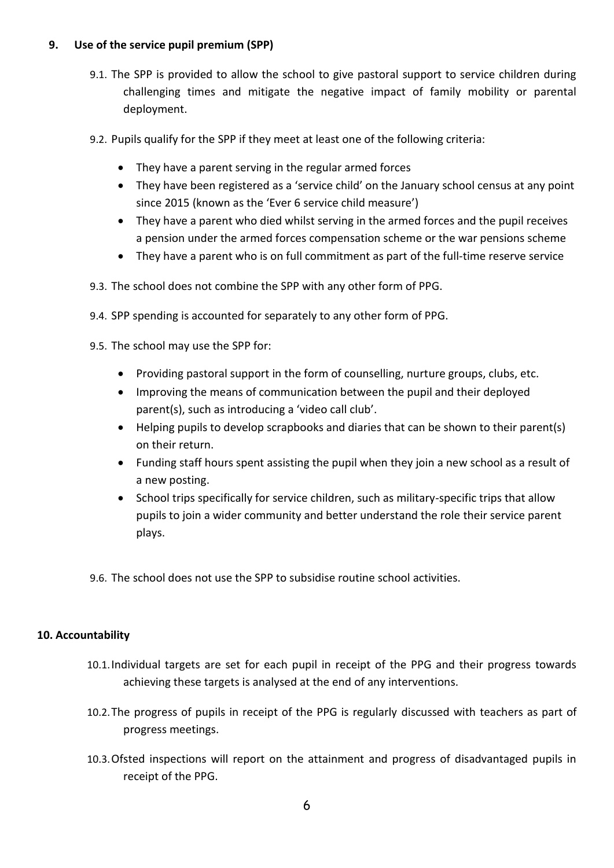# **9. Use of the service pupil premium (SPP)**

- 9.1. The SPP is provided to allow the school to give pastoral support to service children during challenging times and mitigate the negative impact of family mobility or parental deployment.
- 9.2. Pupils qualify for the SPP if they meet at least one of the following criteria:
	- They have a parent serving in the regular armed forces
	- They have been registered as a 'service child' on the January school census at any point since 2015 (known as the 'Ever 6 service child measure')
	- They have a parent who died whilst serving in the armed forces and the pupil receives a pension under the armed forces compensation scheme or the war pensions scheme
	- They have a parent who is on full commitment as part of the full-time reserve service
- 9.3. The school does not combine the SPP with any other form of PPG.
- 9.4. SPP spending is accounted for separately to any other form of PPG.
- 9.5. The school may use the SPP for:
	- Providing pastoral support in the form of counselling, nurture groups, clubs, etc.
	- Improving the means of communication between the pupil and their deployed parent(s), such as introducing a 'video call club'.
	- Helping pupils to develop scrapbooks and diaries that can be shown to their parent(s) on their return.
	- Funding staff hours spent assisting the pupil when they join a new school as a result of a new posting.
	- School trips specifically for service children, such as military-specific trips that allow pupils to join a wider community and better understand the role their service parent plays.
- 9.6. The school does not use the SPP to subsidise routine school activities.

### **10. Accountability**

- 10.1.Individual targets are set for each pupil in receipt of the PPG and their progress towards achieving these targets is analysed at the end of any interventions.
- 10.2.The progress of pupils in receipt of the PPG is regularly discussed with teachers as part of progress meetings.
- 10.3.Ofsted inspections will report on the attainment and progress of disadvantaged pupils in receipt of the PPG.